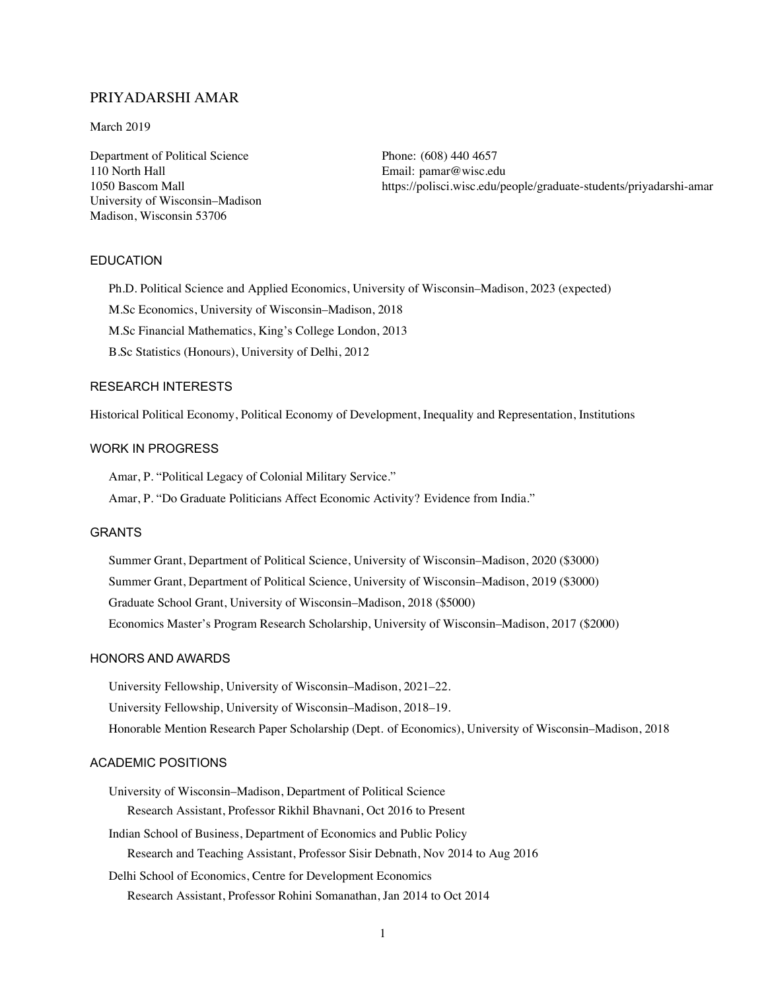## PRIYADARSHI AMAR

#### March 2019

Department of Political Science 110 North Hall 1050 Bascom Mall University of Wisconsin–Madison Madison, Wisconsin 53706

Phone: (608) 440 4657 Email: [pamar@wisc.edu](mailto:pamar@wisc.edu) <https://polisci.wisc.edu/people/graduate-students/priyadarshi-amar>

#### EDUCATION

Ph.D. Political Science and Applied Economics, University of Wisconsin–Madison, 2023 (expected)

M.Sc Economics, University of Wisconsin–Madison, 2018

M.Sc Financial Mathematics, King's College London, 2013

B.Sc Statistics (Honours), University of Delhi, 2012

#### RESEARCH INTERESTS

Historical Political Economy, Political Economy of Development, Inequality and Representation, Institutions

### WORK IN PROGRESS

Amar, P. "Political Legacy of Colonial Military Service."

Amar, P. "Do Graduate Politicians Affect Economic Activity? Evidence from India."

#### GRANTS

Summer Grant, Department of Political Science, University of Wisconsin–Madison, 2020 (\$3000) Summer Grant, Department of Political Science, University of Wisconsin–Madison, 2019 (\$3000) Graduate School Grant, University of Wisconsin–Madison, 2018 (\$5000) Economics Master's Program Research Scholarship, University of Wisconsin–Madison, 2017 (\$2000)

#### HONORS AND AWARDS

University Fellowship, University of Wisconsin–Madison, 2021–22. University Fellowship, University of Wisconsin–Madison, 2018–19. Honorable Mention Research Paper Scholarship (Dept. of Economics), University of Wisconsin–Madison, 2018

#### ACADEMIC POSITIONS

University of Wisconsin–Madison, Department of Political Science Research Assistant, Professor Rikhil Bhavnani, Oct 2016 to Present

- Indian School of Business, Department of Economics and Public Policy Research and Teaching Assistant, Professor Sisir Debnath, Nov 2014 to Aug 2016
- Delhi School of Economics, Centre for Development Economics Research Assistant, Professor Rohini Somanathan, Jan 2014 to Oct 2014